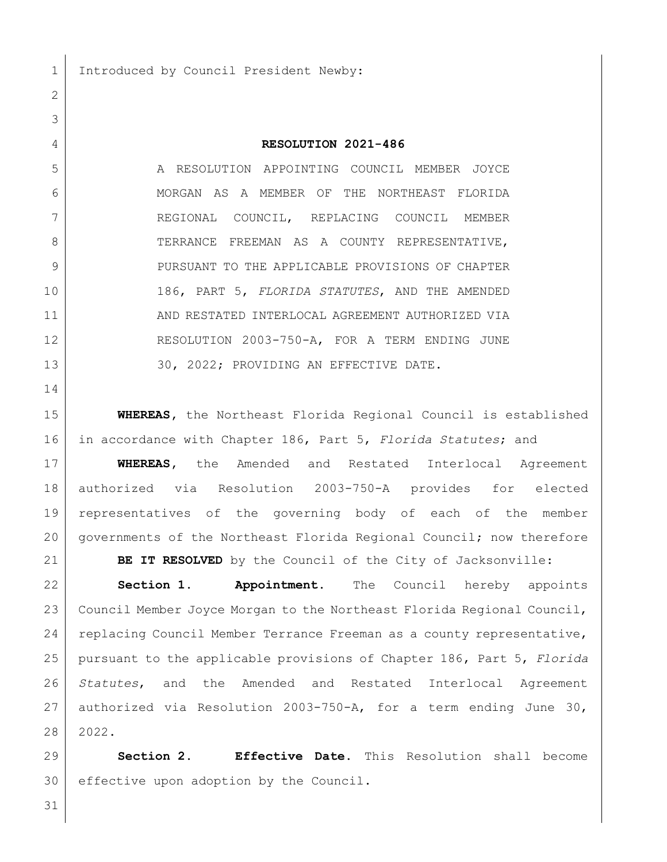1 Introduced by Council President Newby:

## **RESOLUTION 2021-486**

 A RESOLUTION APPOINTING COUNCIL MEMBER JOYCE 6 MORGAN AS A MEMBER OF THE NORTHEAST FLORIDA REGIONAL COUNCIL, REPLACING COUNCIL MEMBER 8 TERRANCE FREEMAN AS A COUNTY REPRESENTATIVE, 9 | PURSUANT TO THE APPLICABLE PROVISIONS OF CHAPTER 186, PART 5, *FLORIDA STATUTES*, AND THE AMENDED 11 AND RESTATED INTERLOCAL AGREEMENT AUTHORIZED VIA RESOLUTION 2003-750-A, FOR A TERM ENDING JUNE 13 30, 2022; PROVIDING AN EFFECTIVE DATE.

 **WHEREAS,** the Northeast Florida Regional Council is established in accordance with Chapter 186, Part 5, *Florida Statutes*; and

 **WHEREAS,** the Amended and Restated Interlocal Agreement authorized via Resolution 2003-750-A provides for elected representatives of the governing body of each of the member governments of the Northeast Florida Regional Council; now therefore

**BE IT RESOLVED** by the Council of the City of Jacksonville:

 **Section 1. Appointment.** The Council hereby appoints 23 Council Member Joyce Morgan to the Northeast Florida Regional Council, replacing Council Member Terrance Freeman as a county representative, pursuant to the applicable provisions of Chapter 186, Part 5, *Florida Statutes*, and the Amended and Restated Interlocal Agreement authorized via Resolution 2003-750-A, for a term ending June 30, 2022.

 **Section 2. Effective Date.** This Resolution shall become effective upon adoption by the Council.